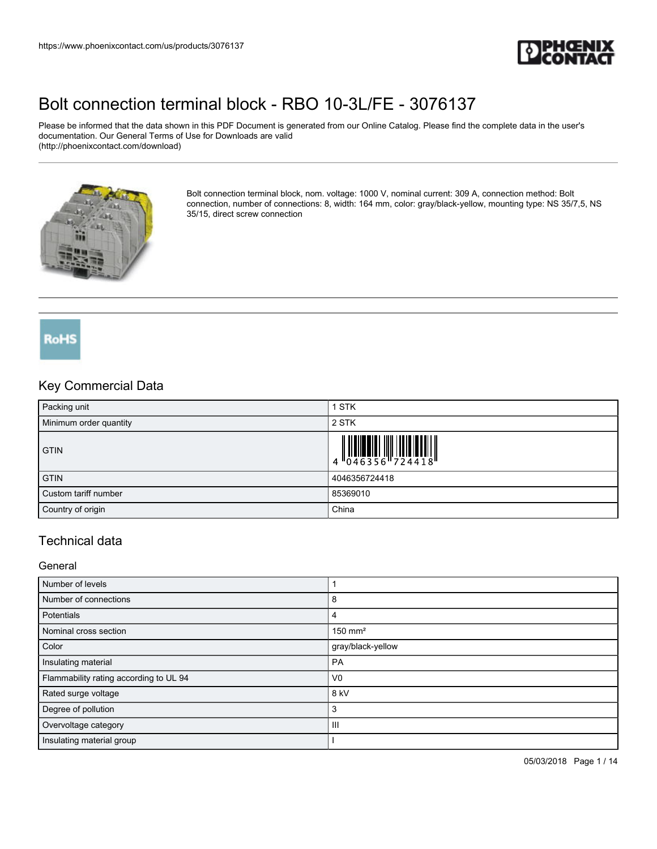

Please be informed that the data shown in this PDF Document is generated from our Online Catalog. Please find the complete data in the user's documentation. Our General Terms of Use for Downloads are valid (http://phoenixcontact.com/download)



Bolt connection terminal block, nom. voltage: 1000 V, nominal current: 309 A, connection method: Bolt connection, number of connections: 8, width: 164 mm, color: gray/black-yellow, mounting type: NS 35/7,5, NS 35/15, direct screw connection

### RoHS

### Key Commercial Data

| Packing unit           | 1 STK         |
|------------------------|---------------|
| Minimum order quantity | 2 STK         |
| <b>GTIN</b>            |               |
| <b>GTIN</b>            | 4046356724418 |
| Custom tariff number   | 85369010      |
| Country of origin      | China         |

### Technical data

**General** 

| Number of levels                       |                       |
|----------------------------------------|-----------------------|
| Number of connections                  | 8                     |
| Potentials                             | 4                     |
| Nominal cross section                  | $150$ mm <sup>2</sup> |
| Color                                  | gray/black-yellow     |
| Insulating material                    | PA                    |
| Flammability rating according to UL 94 | V <sub>0</sub>        |
| Rated surge voltage                    | $8$ kV                |
| Degree of pollution                    | 3                     |
| Overvoltage category                   | Ш                     |
| Insulating material group              |                       |

05/03/2018 Page 1 / 14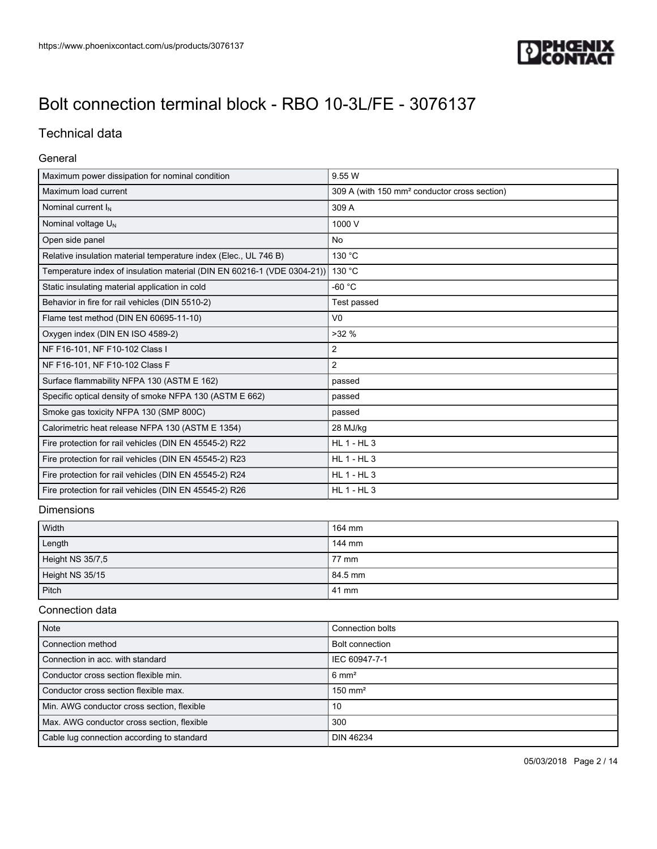

### Technical data

#### General

| Maximum power dissipation for nominal condition                         | 9.55 W                                                   |
|-------------------------------------------------------------------------|----------------------------------------------------------|
| Maximum load current                                                    | 309 A (with 150 mm <sup>2</sup> conductor cross section) |
| Nominal current $I_N$                                                   | 309 A                                                    |
| Nominal voltage $U_N$                                                   | 1000 V                                                   |
| Open side panel                                                         | <b>No</b>                                                |
| Relative insulation material temperature index (Elec., UL 746 B)        | 130 °C                                                   |
| Temperature index of insulation material (DIN EN 60216-1 (VDE 0304-21)) | 130 °C                                                   |
| Static insulating material application in cold                          | -60 °C                                                   |
| Behavior in fire for rail vehicles (DIN 5510-2)                         | Test passed                                              |
| Flame test method (DIN EN 60695-11-10)                                  | V <sub>0</sub>                                           |
| Oxygen index (DIN EN ISO 4589-2)                                        | $>32\%$                                                  |
| NF F16-101, NF F10-102 Class I                                          | 2                                                        |
| NF F16-101, NF F10-102 Class F                                          | 2                                                        |
| Surface flammability NFPA 130 (ASTM E 162)                              | passed                                                   |
| Specific optical density of smoke NFPA 130 (ASTM E 662)                 | passed                                                   |
| Smoke gas toxicity NFPA 130 (SMP 800C)                                  | passed                                                   |
| Calorimetric heat release NFPA 130 (ASTM E 1354)                        | 28 MJ/kg                                                 |
| Fire protection for rail vehicles (DIN EN 45545-2) R22                  | <b>HL 1 - HL 3</b>                                       |
| Fire protection for rail vehicles (DIN EN 45545-2) R23                  | $HL$ 1 - $HL$ 3                                          |
| Fire protection for rail vehicles (DIN EN 45545-2) R24                  | $HL$ 1 - $HL$ 3                                          |
| Fire protection for rail vehicles (DIN EN 45545-2) R26                  | <b>HL 1 - HL 3</b>                                       |

### Dimensions

| Width            | 164 mm  |
|------------------|---------|
| Length           | 144 mm  |
| Height NS 35/7,5 | 77 mm   |
| Height NS 35/15  | 84.5 mm |
| Pitch            | 41 mm   |

#### Connection data

| Note                                       | Connection bolts      |
|--------------------------------------------|-----------------------|
| Connection method                          | Bolt connection       |
| Connection in acc. with standard           | IEC 60947-7-1         |
| Conductor cross section flexible min.      | $6 \text{ mm}^2$      |
| Conductor cross section flexible max.      | $150$ mm <sup>2</sup> |
| Min. AWG conductor cross section, flexible | 10                    |
| Max. AWG conductor cross section, flexible | 300                   |
| Cable lug connection according to standard | <b>DIN 46234</b>      |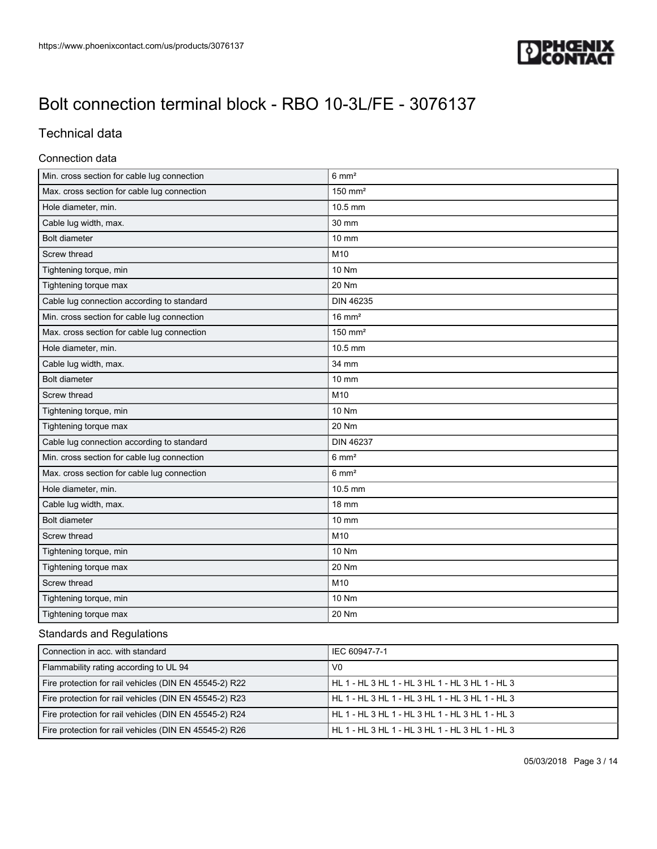

### Technical data

#### Connection data

| Min. cross section for cable lug connection | $6 \text{ mm}^2$      |
|---------------------------------------------|-----------------------|
| Max. cross section for cable lug connection | $150$ mm <sup>2</sup> |
| Hole diameter, min.                         | 10.5 mm               |
| Cable lug width, max.                       | 30 mm                 |
| Bolt diameter                               | 10 mm                 |
| Screw thread                                | M10                   |
| Tightening torque, min                      | 10 Nm                 |
| Tightening torque max                       | 20 Nm                 |
| Cable lug connection according to standard  | <b>DIN 46235</b>      |
| Min. cross section for cable lug connection | $16 \text{ mm}^2$     |
| Max. cross section for cable lug connection | $150$ mm <sup>2</sup> |
| Hole diameter, min.                         | 10.5 mm               |
| Cable lug width, max.                       | 34 mm                 |
| <b>Bolt diameter</b>                        | 10 mm                 |
| Screw thread                                | M10                   |
| Tightening torque, min                      | 10 Nm                 |
| Tightening torque max                       | 20 Nm                 |
| Cable lug connection according to standard  | <b>DIN 46237</b>      |
| Min. cross section for cable lug connection | $6 \text{ mm}^2$      |
| Max. cross section for cable lug connection | $6 \text{ mm}^2$      |
| Hole diameter, min.                         | 10.5 mm               |
| Cable lug width, max.                       | <b>18 mm</b>          |
| <b>Bolt diameter</b>                        | 10 mm                 |
| Screw thread                                | M10                   |
| Tightening torque, min                      | 10 Nm                 |
| Tightening torque max                       | 20 Nm                 |
| Screw thread                                | M10                   |
| Tightening torque, min                      | 10 Nm                 |
| Tightening torque max                       | 20 Nm                 |

### Standards and Regulations

| Connection in acc. with standard                       | IEC 60947-7-1                                   |
|--------------------------------------------------------|-------------------------------------------------|
| Flammability rating according to UL 94                 | V0                                              |
| Fire protection for rail vehicles (DIN EN 45545-2) R22 | HL 1 - HL 3 HL 1 - HL 3 HL 1 - HL 3 HL 1 - HL 3 |
| Fire protection for rail vehicles (DIN EN 45545-2) R23 | HL 1 - HL 3 HL 1 - HL 3 HL 1 - HL 3 HL 1 - HL 3 |
| Fire protection for rail vehicles (DIN EN 45545-2) R24 | HL 1 - HL 3 HL 1 - HL 3 HL 1 - HL 3 HL 1 - HL 3 |
| Fire protection for rail vehicles (DIN EN 45545-2) R26 | HL 1 - HL 3 HL 1 - HL 3 HL 1 - HL 3 HL 1 - HL 3 |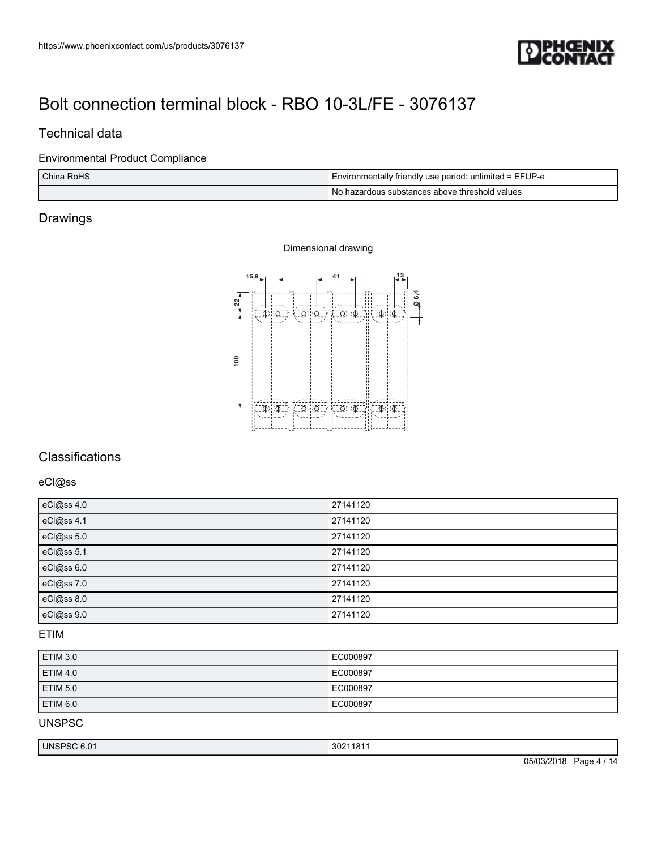

### Technical data

### Environmental Product Compliance

| China RoHS | I Environmentally friendly use period: unlimited = EFUP-e |
|------------|-----------------------------------------------------------|
|            | No hazardous substances above threshold values            |

### Drawings

#### Dimensional drawing



### **Classifications**

eCl@ss

| eCl@ss 4.0 | 27141120 |
|------------|----------|
| eCl@ss 4.1 | 27141120 |
| eCl@ss 5.0 | 27141120 |
| eCl@ss 5.1 | 27141120 |
| eCl@ss 6.0 | 27141120 |
| eCl@ss 7.0 | 27141120 |
| eCl@ss 8.0 | 27141120 |
| eCl@ss 9.0 | 27141120 |

### ETIM

| <b>ETIM 3.0</b> | EC000897 |
|-----------------|----------|
| <b>ETIM 4.0</b> | EC000897 |
| <b>ETIM 5.0</b> | EC000897 |
| <b>ETIM 6.0</b> | EC000897 |

UNSPSC

| <b>UNSP</b><br>2004.<br>181<br>C OA<br>302<br>0.0<br>טי |  |
|---------------------------------------------------------|--|
|---------------------------------------------------------|--|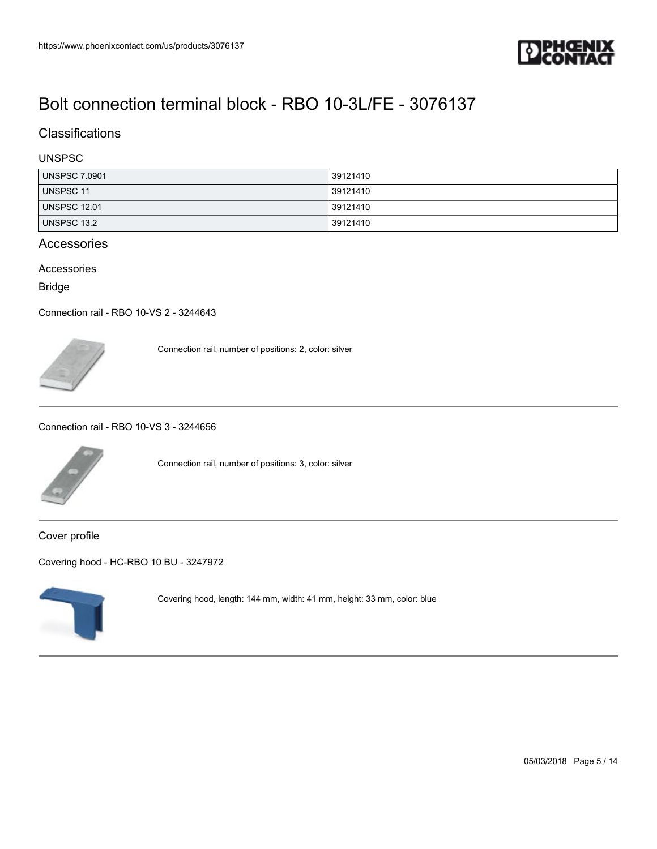

### **Classifications**

#### UNSPSC

| <b>UNSPSC 7.0901</b> | 39121410 |
|----------------------|----------|
| <b>UNSPSC 11</b>     | 39121410 |
| <b>UNSPSC 12.01</b>  | 39121410 |
| UNSPSC 13.2          | 39121410 |

### Accessories

Accessories

Bridge

[Connection rail - RBO 10-VS 2 - 3244643](https://www.phoenixcontact.com/us/products/3244643)



Connection rail, number of positions: 2, color: silver

[Connection rail - RBO 10-VS 3 - 3244656](https://www.phoenixcontact.com/us/products/3244656)



Connection rail, number of positions: 3, color: silver

Cover profile

[Covering hood - HC-RBO 10 BU - 3247972](https://www.phoenixcontact.com/us/products/3247972)



Covering hood, length: 144 mm, width: 41 mm, height: 33 mm, color: blue

05/03/2018 Page 5 / 14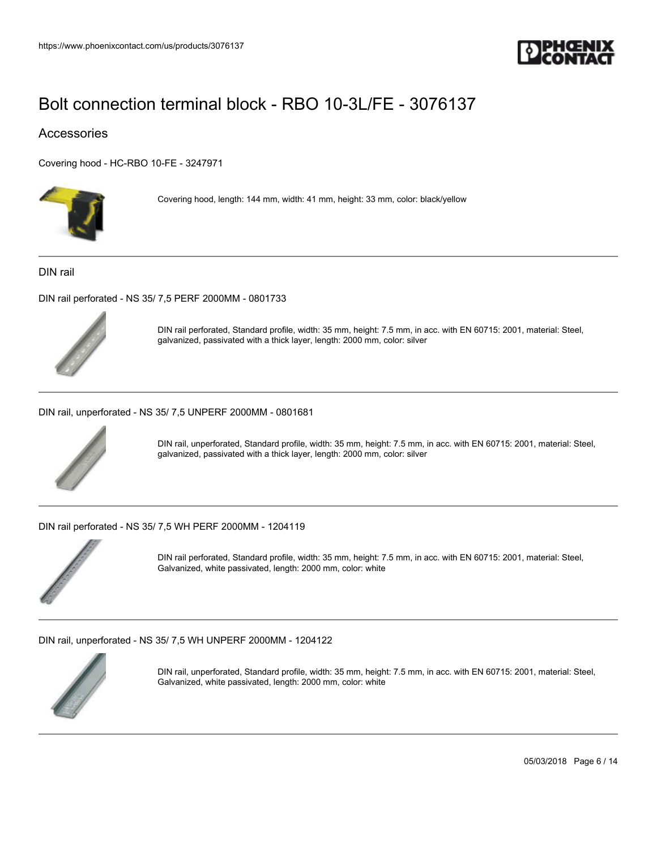

### Accessories

[Covering hood - HC-RBO 10-FE - 3247971](https://www.phoenixcontact.com/us/products/3247971)



Covering hood, length: 144 mm, width: 41 mm, height: 33 mm, color: black/yellow

DIN rail

[DIN rail perforated - NS 35/ 7,5 PERF 2000MM - 0801733](https://www.phoenixcontact.com/us/products/0801733)



DIN rail perforated, Standard profile, width: 35 mm, height: 7.5 mm, in acc. with EN 60715: 2001, material: Steel, galvanized, passivated with a thick layer, length: 2000 mm, color: silver

[DIN rail, unperforated - NS 35/ 7,5 UNPERF 2000MM - 0801681](https://www.phoenixcontact.com/us/products/0801681)



DIN rail, unperforated, Standard profile, width: 35 mm, height: 7.5 mm, in acc. with EN 60715: 2001, material: Steel, galvanized, passivated with a thick layer, length: 2000 mm, color: silver

[DIN rail perforated - NS 35/ 7,5 WH PERF 2000MM - 1204119](https://www.phoenixcontact.com/us/products/1204119)



DIN rail perforated, Standard profile, width: 35 mm, height: 7.5 mm, in acc. with EN 60715: 2001, material: Steel, Galvanized, white passivated, length: 2000 mm, color: white

[DIN rail, unperforated - NS 35/ 7,5 WH UNPERF 2000MM - 1204122](https://www.phoenixcontact.com/us/products/1204122)



DIN rail, unperforated, Standard profile, width: 35 mm, height: 7.5 mm, in acc. with EN 60715: 2001, material: Steel, Galvanized, white passivated, length: 2000 mm, color: white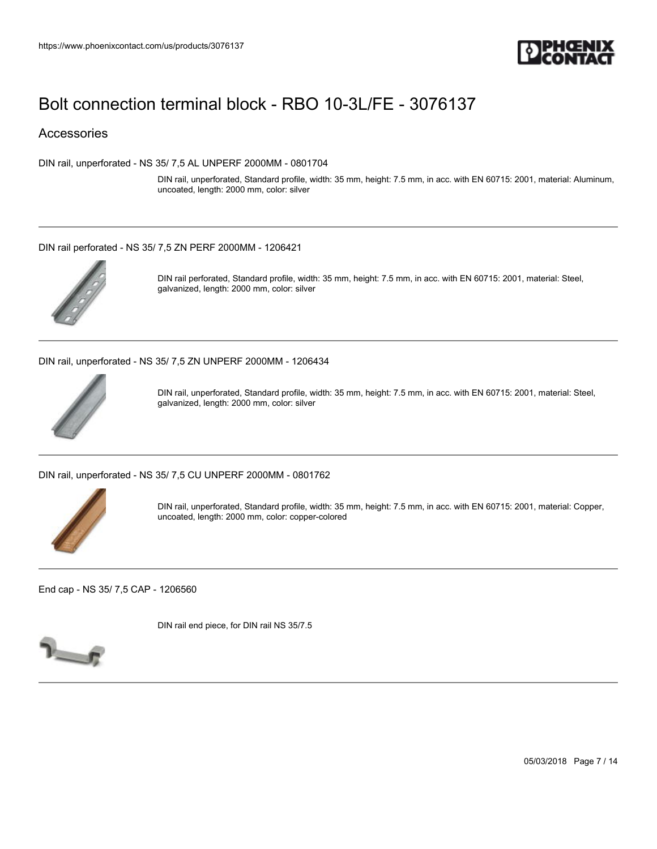

### **Accessories**

[DIN rail, unperforated - NS 35/ 7,5 AL UNPERF 2000MM - 0801704](https://www.phoenixcontact.com/us/products/0801704)

DIN rail, unperforated, Standard profile, width: 35 mm, height: 7.5 mm, in acc. with EN 60715: 2001, material: Aluminum, uncoated, length: 2000 mm, color: silver

#### [DIN rail perforated - NS 35/ 7,5 ZN PERF 2000MM - 1206421](https://www.phoenixcontact.com/us/products/1206421)



DIN rail perforated, Standard profile, width: 35 mm, height: 7.5 mm, in acc. with EN 60715: 2001, material: Steel, galvanized, length: 2000 mm, color: silver

[DIN rail, unperforated - NS 35/ 7,5 ZN UNPERF 2000MM - 1206434](https://www.phoenixcontact.com/us/products/1206434)



DIN rail, unperforated, Standard profile, width: 35 mm, height: 7.5 mm, in acc. with EN 60715: 2001, material: Steel, galvanized, length: 2000 mm, color: silver

[DIN rail, unperforated - NS 35/ 7,5 CU UNPERF 2000MM - 0801762](https://www.phoenixcontact.com/us/products/0801762)



DIN rail, unperforated, Standard profile, width: 35 mm, height: 7.5 mm, in acc. with EN 60715: 2001, material: Copper, uncoated, length: 2000 mm, color: copper-colored

[End cap - NS 35/ 7,5 CAP - 1206560](https://www.phoenixcontact.com/us/products/1206560)

DIN rail end piece, for DIN rail NS 35/7.5



05/03/2018 Page 7 / 14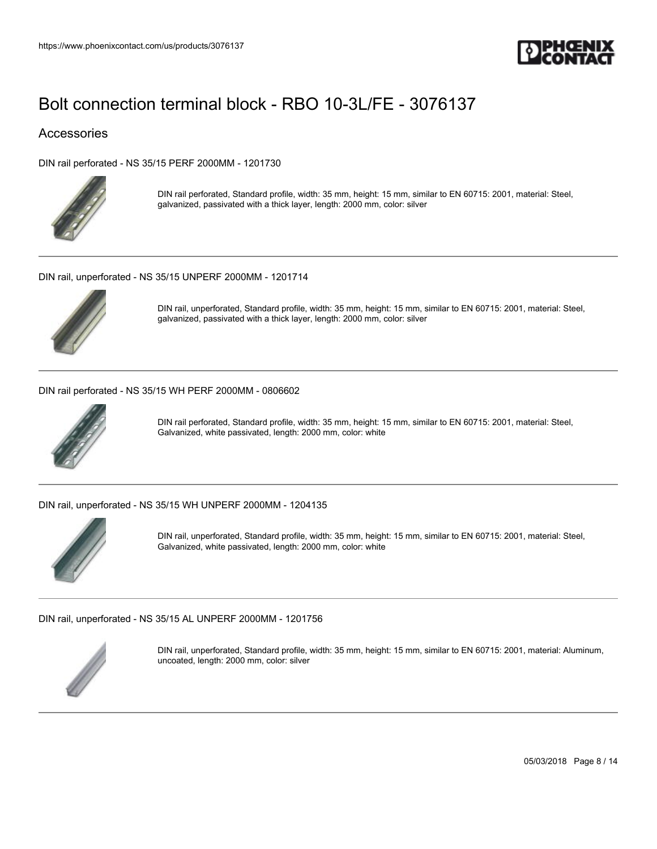

### Accessories

[DIN rail perforated - NS 35/15 PERF 2000MM - 1201730](https://www.phoenixcontact.com/us/products/1201730)



DIN rail perforated, Standard profile, width: 35 mm, height: 15 mm, similar to EN 60715: 2001, material: Steel, galvanized, passivated with a thick layer, length: 2000 mm, color: silver

[DIN rail, unperforated - NS 35/15 UNPERF 2000MM - 1201714](https://www.phoenixcontact.com/us/products/1201714)



DIN rail, unperforated, Standard profile, width: 35 mm, height: 15 mm, similar to EN 60715: 2001, material: Steel, galvanized, passivated with a thick layer, length: 2000 mm, color: silver

[DIN rail perforated - NS 35/15 WH PERF 2000MM - 0806602](https://www.phoenixcontact.com/us/products/0806602)



DIN rail perforated, Standard profile, width: 35 mm, height: 15 mm, similar to EN 60715: 2001, material: Steel, Galvanized, white passivated, length: 2000 mm, color: white

[DIN rail, unperforated - NS 35/15 WH UNPERF 2000MM - 1204135](https://www.phoenixcontact.com/us/products/1204135)



DIN rail, unperforated, Standard profile, width: 35 mm, height: 15 mm, similar to EN 60715: 2001, material: Steel, Galvanized, white passivated, length: 2000 mm, color: white

[DIN rail, unperforated - NS 35/15 AL UNPERF 2000MM - 1201756](https://www.phoenixcontact.com/us/products/1201756)



DIN rail, unperforated, Standard profile, width: 35 mm, height: 15 mm, similar to EN 60715: 2001, material: Aluminum, uncoated, length: 2000 mm, color: silver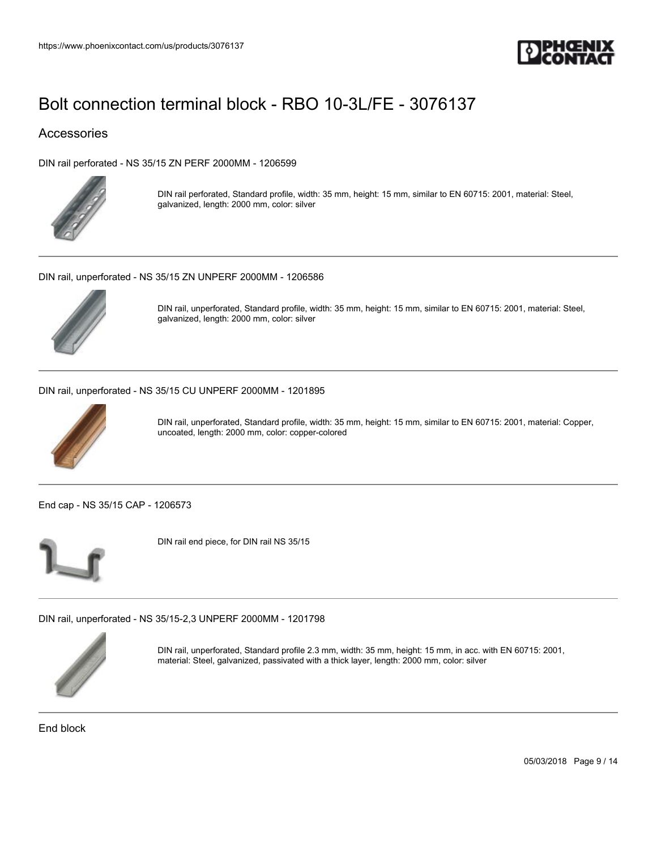

### Accessories

[DIN rail perforated - NS 35/15 ZN PERF 2000MM - 1206599](https://www.phoenixcontact.com/us/products/1206599)



DIN rail perforated, Standard profile, width: 35 mm, height: 15 mm, similar to EN 60715: 2001, material: Steel, galvanized, length: 2000 mm, color: silver

[DIN rail, unperforated - NS 35/15 ZN UNPERF 2000MM - 1206586](https://www.phoenixcontact.com/us/products/1206586)



DIN rail, unperforated, Standard profile, width: 35 mm, height: 15 mm, similar to EN 60715: 2001, material: Steel, galvanized, length: 2000 mm, color: silver

[DIN rail, unperforated - NS 35/15 CU UNPERF 2000MM - 1201895](https://www.phoenixcontact.com/us/products/1201895)



DIN rail, unperforated, Standard profile, width: 35 mm, height: 15 mm, similar to EN 60715: 2001, material: Copper, uncoated, length: 2000 mm, color: copper-colored

[End cap - NS 35/15 CAP - 1206573](https://www.phoenixcontact.com/us/products/1206573)



DIN rail end piece, for DIN rail NS 35/15

[DIN rail, unperforated - NS 35/15-2,3 UNPERF 2000MM - 1201798](https://www.phoenixcontact.com/us/products/1201798)



DIN rail, unperforated, Standard profile 2.3 mm, width: 35 mm, height: 15 mm, in acc. with EN 60715: 2001, material: Steel, galvanized, passivated with a thick layer, length: 2000 mm, color: silver

End block

05/03/2018 Page 9 / 14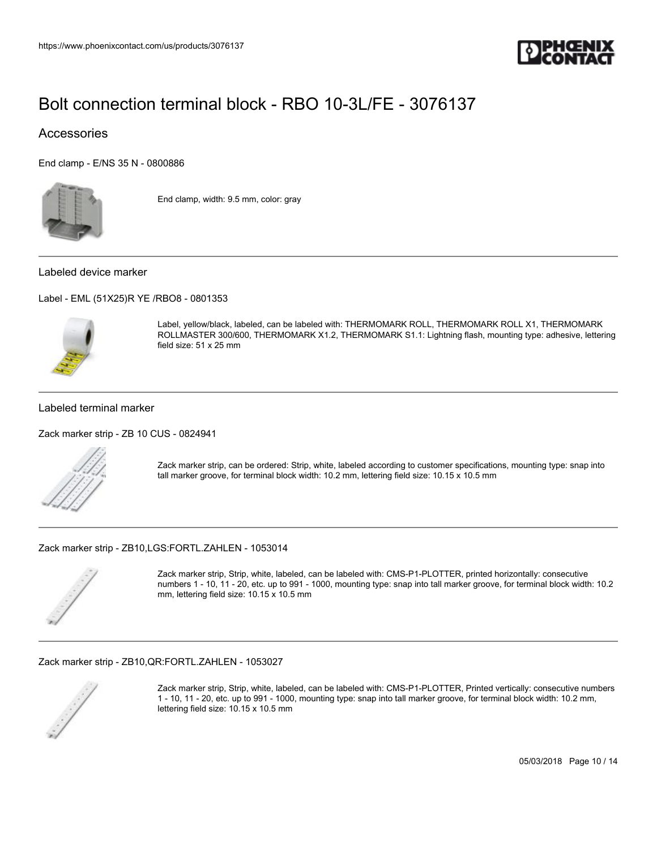

### **Accessories**

[End clamp - E/NS 35 N - 0800886](https://www.phoenixcontact.com/us/products/0800886)



End clamp, width: 9.5 mm, color: gray

#### Labeled device marker

[Label - EML \(51X25\)R YE /RBO8 - 0801353](https://www.phoenixcontact.com/us/products/0801353)



Label, yellow/black, labeled, can be labeled with: THERMOMARK ROLL, THERMOMARK ROLL X1, THERMOMARK ROLLMASTER 300/600, THERMOMARK X1.2, THERMOMARK S1.1: Lightning flash, mounting type: adhesive, lettering field size: 51 x 25 mm

#### Labeled terminal marker

[Zack marker strip - ZB 10 CUS - 0824941](https://www.phoenixcontact.com/us/products/0824941)



Zack marker strip, can be ordered: Strip, white, labeled according to customer specifications, mounting type: snap into tall marker groove, for terminal block width: 10.2 mm, lettering field size: 10.15 x 10.5 mm

[Zack marker strip - ZB10,LGS:FORTL.ZAHLEN - 1053014](https://www.phoenixcontact.com/us/products/1053014)



Zack marker strip, Strip, white, labeled, can be labeled with: CMS-P1-PLOTTER, printed horizontally: consecutive numbers 1 - 10, 11 - 20, etc. up to 991 - 1000, mounting type: snap into tall marker groove, for terminal block width: 10.2 mm, lettering field size: 10.15 x 10.5 mm

#### [Zack marker strip - ZB10,QR:FORTL.ZAHLEN - 1053027](https://www.phoenixcontact.com/us/products/1053027)



Zack marker strip, Strip, white, labeled, can be labeled with: CMS-P1-PLOTTER, Printed vertically: consecutive numbers 1 - 10, 11 - 20, etc. up to 991 - 1000, mounting type: snap into tall marker groove, for terminal block width: 10.2 mm, lettering field size: 10.15 x 10.5 mm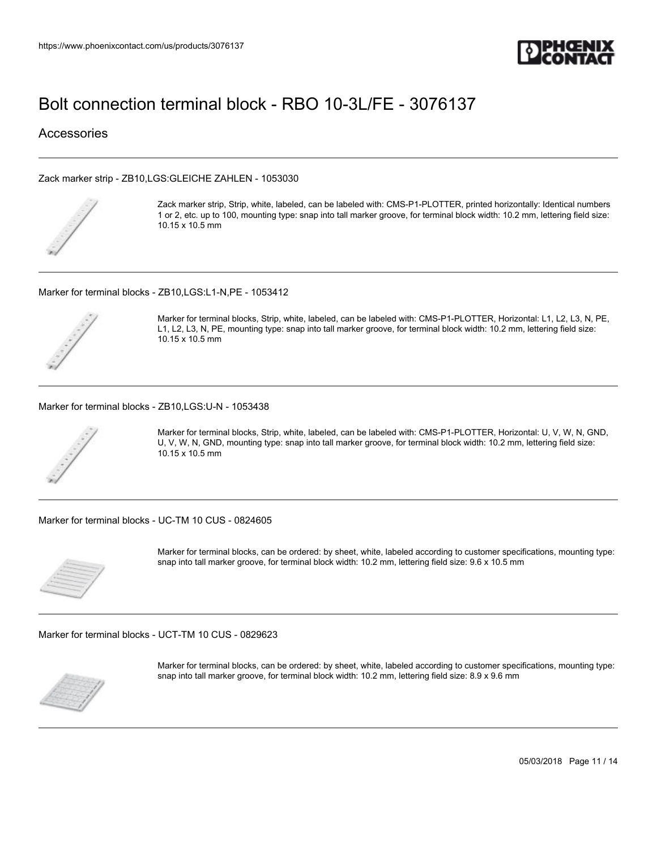

**Accessories** 

#### [Zack marker strip - ZB10,LGS:GLEICHE ZAHLEN - 1053030](https://www.phoenixcontact.com/us/products/1053030)



Zack marker strip, Strip, white, labeled, can be labeled with: CMS-P1-PLOTTER, printed horizontally: Identical numbers 1 or 2, etc. up to 100, mounting type: snap into tall marker groove, for terminal block width: 10.2 mm, lettering field size: 10.15 x 10.5 mm

#### [Marker for terminal blocks - ZB10,LGS:L1-N,PE - 1053412](https://www.phoenixcontact.com/us/products/1053412)



Marker for terminal blocks, Strip, white, labeled, can be labeled with: CMS-P1-PLOTTER, Horizontal: L1, L2, L3, N, PE, L1, L2, L3, N, PE, mounting type: snap into tall marker groove, for terminal block width: 10.2 mm, lettering field size: 10.15 x 10.5 mm

[Marker for terminal blocks - ZB10,LGS:U-N - 1053438](https://www.phoenixcontact.com/us/products/1053438)



Marker for terminal blocks, Strip, white, labeled, can be labeled with: CMS-P1-PLOTTER, Horizontal: U, V, W, N, GND, U, V, W, N, GND, mounting type: snap into tall marker groove, for terminal block width: 10.2 mm, lettering field size: 10.15 x 10.5 mm

[Marker for terminal blocks - UC-TM 10 CUS - 0824605](https://www.phoenixcontact.com/us/products/0824605)



Marker for terminal blocks, can be ordered: by sheet, white, labeled according to customer specifications, mounting type: snap into tall marker groove, for terminal block width: 10.2 mm, lettering field size: 9.6 x 10.5 mm

[Marker for terminal blocks - UCT-TM 10 CUS - 0829623](https://www.phoenixcontact.com/us/products/0829623)



Marker for terminal blocks, can be ordered: by sheet, white, labeled according to customer specifications, mounting type: snap into tall marker groove, for terminal block width: 10.2 mm, lettering field size: 8.9 x 9.6 mm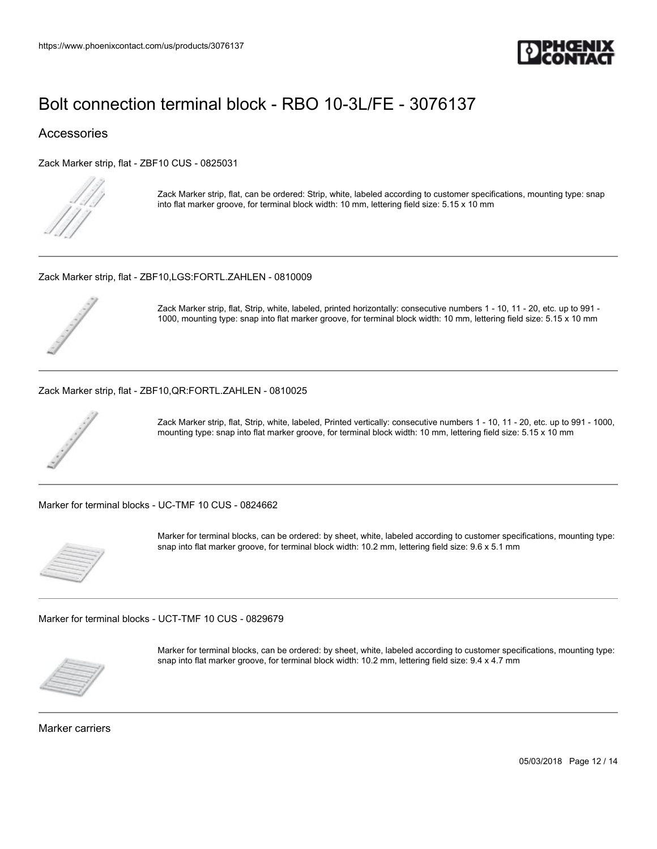

### **Accessories**

[Zack Marker strip, flat - ZBF10 CUS - 0825031](https://www.phoenixcontact.com/us/products/0825031)



Zack Marker strip, flat, can be ordered: Strip, white, labeled according to customer specifications, mounting type: snap into flat marker groove, for terminal block width: 10 mm, lettering field size: 5.15 x 10 mm

[Zack Marker strip, flat - ZBF10,LGS:FORTL.ZAHLEN - 0810009](https://www.phoenixcontact.com/us/products/0810009)



Zack Marker strip, flat, Strip, white, labeled, printed horizontally: consecutive numbers 1 - 10, 11 - 20, etc. up to 991 - 1000, mounting type: snap into flat marker groove, for terminal block width: 10 mm, lettering field size: 5.15 x 10 mm

#### [Zack Marker strip, flat - ZBF10,QR:FORTL.ZAHLEN - 0810025](https://www.phoenixcontact.com/us/products/0810025)



Zack Marker strip, flat, Strip, white, labeled, Printed vertically: consecutive numbers 1 - 10, 11 - 20, etc. up to 991 - 1000, mounting type: snap into flat marker groove, for terminal block width: 10 mm, lettering field size: 5.15 x 10 mm

[Marker for terminal blocks - UC-TMF 10 CUS - 0824662](https://www.phoenixcontact.com/us/products/0824662)



Marker for terminal blocks, can be ordered: by sheet, white, labeled according to customer specifications, mounting type: snap into flat marker groove, for terminal block width: 10.2 mm, lettering field size: 9.6 x 5.1 mm

[Marker for terminal blocks - UCT-TMF 10 CUS - 0829679](https://www.phoenixcontact.com/us/products/0829679)



Marker for terminal blocks, can be ordered: by sheet, white, labeled according to customer specifications, mounting type: snap into flat marker groove, for terminal block width: 10.2 mm, lettering field size: 9.4 x 4.7 mm

Marker carriers

05/03/2018 Page 12 / 14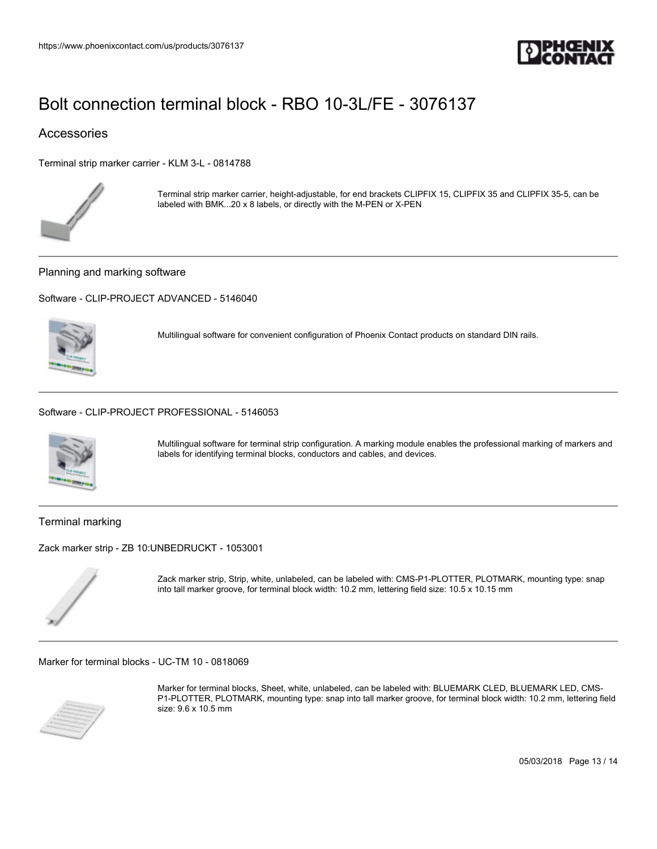

### **Accessories**

[Terminal strip marker carrier - KLM 3-L - 0814788](https://www.phoenixcontact.com/us/products/0814788)



Terminal strip marker carrier, height-adjustable, for end brackets CLIPFIX 15, CLIPFIX 35 and CLIPFIX 35-5, can be labeled with BMK...20 x 8 labels, or directly with the M-PEN or X-PEN

Planning and marking software

[Software - CLIP-PROJECT ADVANCED - 5146040](https://www.phoenixcontact.com/us/products/5146040)



Multilingual software for convenient configuration of Phoenix Contact products on standard DIN rails.

[Software - CLIP-PROJECT PROFESSIONAL - 5146053](https://www.phoenixcontact.com/us/products/5146053)



Multilingual software for terminal strip configuration. A marking module enables the professional marking of markers and labels for identifying terminal blocks, conductors and cables, and devices.

Terminal marking

[Zack marker strip - ZB 10:UNBEDRUCKT - 1053001](https://www.phoenixcontact.com/us/products/1053001)



Zack marker strip, Strip, white, unlabeled, can be labeled with: CMS-P1-PLOTTER, PLOTMARK, mounting type: snap into tall marker groove, for terminal block width: 10.2 mm, lettering field size: 10.5 x 10.15 mm

[Marker for terminal blocks - UC-TM 10 - 0818069](https://www.phoenixcontact.com/us/products/0818069)



Marker for terminal blocks, Sheet, white, unlabeled, can be labeled with: BLUEMARK CLED, BLUEMARK LED, CMS-P1-PLOTTER, PLOTMARK, mounting type: snap into tall marker groove, for terminal block width: 10.2 mm, lettering field size: 9.6 x 10.5 mm

05/03/2018 Page 13 / 14